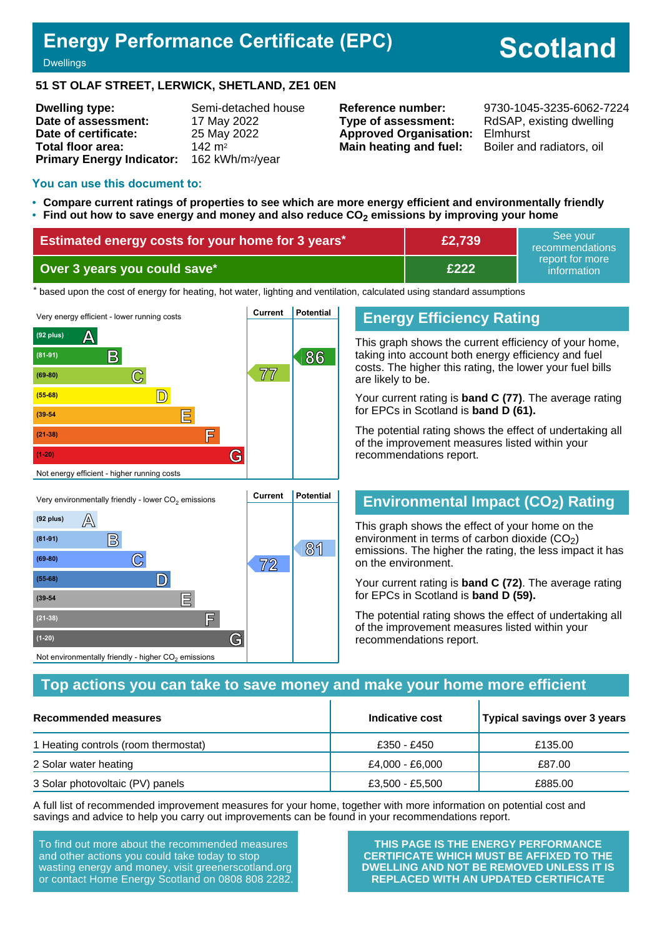# **Energy Performance Certificate (EPC)**

**Scotland**

#### **Dwellings**

 $(92 \text{ plus}) \qquad \boxed{\triangle}$ 

**(81-91) B**

**(55-68) D**

**(39-54 E**

**(21-38) F**

**(1-20) G**

#### **51 ST OLAF STREET, LERWICK, SHETLAND, ZE1 0EN**

| <b>Dwelling type:</b>                                  | Semi-detached house |
|--------------------------------------------------------|---------------------|
| Date of assessment:                                    | 17 May 2022         |
| Date of certificate:                                   | 25 May 2022         |
| Total floor area:                                      | $142 \text{ m}^2$   |
| Primary Energy Indicator: 162 kWh/m <sup>2</sup> /year |                     |

**Type of assessment:** RdSAP, existing dwelling **Approved Organisation:** Elmhurst **Main heating and fuel:** Boiler and radiators, oil

**Reference number:** 9730-1045-3235-6062-7224

#### **You can use this document to:**

- **Compare current ratings of properties to see which are more energy efficient and environmentally friendly**
- **Find out how to save energy and money and also reduce CO2 emissions by improving your home**

| Estimated energy costs for your home for 3 years* | £2,739       | See vour<br>recommendations    |  |
|---------------------------------------------------|--------------|--------------------------------|--|
| Over 3 years you could save*                      | <b>E222.</b> | report for more<br>information |  |

the based upon the cost of energy for heating, hot water, lighting and ventilation, calculated using standard assumptions



### **Energy Efficiency Rating**

This graph shows the current efficiency of your home, taking into account both energy efficiency and fuel costs. The higher this rating, the lower your fuel bills are likely to be.

Your current rating is **band C (77)**. The average rating for EPCs in Scotland is **band D (61).**

The potential rating shows the effect of undertaking all of the improvement measures listed within your recommendations report.

# **Environmental Impact (CO2) Rating**

This graph shows the effect of your home on the environment in terms of carbon dioxide  $(CO<sub>2</sub>)$ emissions. The higher the rating, the less impact it has on the environment.

Your current rating is **band C (72)**. The average rating for EPCs in Scotland is **band D (59).**

The potential rating shows the effect of undertaking all of the improvement measures listed within your recommendations report.

### Not environmentally friendly - higher  $\mathrm{CO}_2$  emissions

**C 72 (69-80)**

### **Top actions you can take to save money and make your home more efficient**

**81**

| Recommended measures                 | Indicative cost | <b>Typical savings over 3 years</b> |
|--------------------------------------|-----------------|-------------------------------------|
| 1 Heating controls (room thermostat) | £350 - £450     | £135.00                             |
| 2 Solar water heating                | £4,000 - £6,000 | £87.00                              |
| 3 Solar photovoltaic (PV) panels     | £3,500 - £5,500 | £885.00                             |

A full list of recommended improvement measures for your home, together with more information on potential cost and savings and advice to help you carry out improvements can be found in your recommendations report.

To find out more about the recommended measures and other actions you could take today to stop wasting energy and money, visit greenerscotland.org or contact Home Energy Scotland on 0808 808 2282.

**THIS PAGE IS THE ENERGY PERFORMANCE CERTIFICATE WHICH MUST BE AFFIXED TO THE DWELLING AND NOT BE REMOVED UNLESS IT IS REPLACED WITH AN UPDATED CERTIFICATE**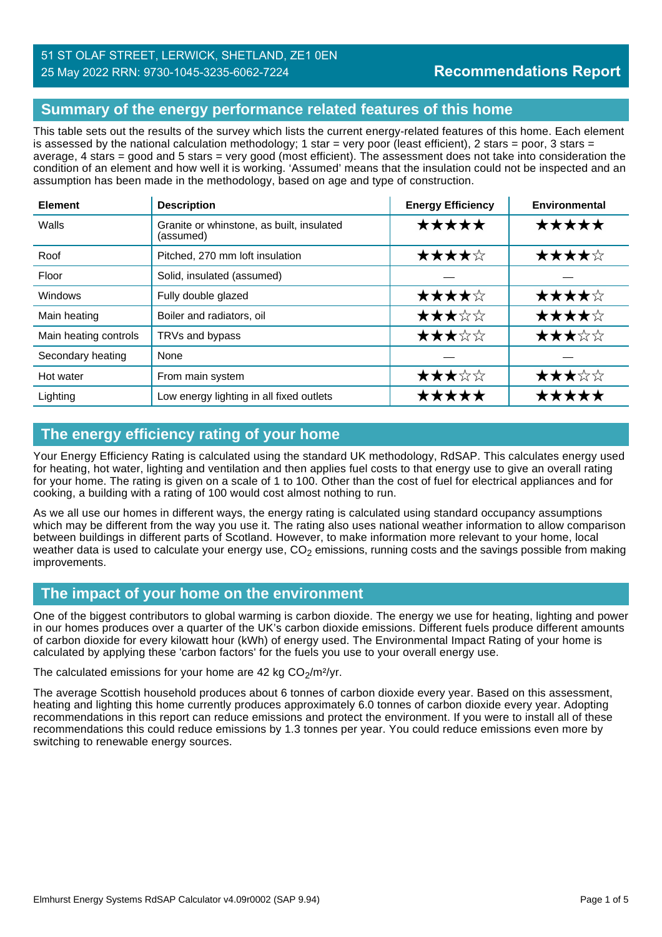# **Summary of the energy performance related features of this home**

This table sets out the results of the survey which lists the current energy-related features of this home. Each element is assessed by the national calculation methodology; 1 star = very poor (least efficient), 2 stars = poor, 3 stars = average, 4 stars = good and 5 stars = very good (most efficient). The assessment does not take into consideration the condition of an element and how well it is working. 'Assumed' means that the insulation could not be inspected and an assumption has been made in the methodology, based on age and type of construction.

| <b>Element</b>        | <b>Description</b>                                     | <b>Energy Efficiency</b> | Environmental |
|-----------------------|--------------------------------------------------------|--------------------------|---------------|
| Walls                 | Granite or whinstone, as built, insulated<br>(assumed) | *****                    | ★★★★★         |
| Roof                  | Pitched, 270 mm loft insulation                        | ★★★★☆                    | ★★★★☆         |
| Floor                 | Solid, insulated (assumed)                             |                          |               |
| Windows               | Fully double glazed                                    | ★★★★☆                    | ★★★★☆         |
| Main heating          | Boiler and radiators, oil                              | ★★★☆☆                    | ★★★★☆         |
| Main heating controls | TRVs and bypass                                        | ★★★☆☆                    | ★★★☆☆         |
| Secondary heating     | None                                                   |                          |               |
| Hot water             | From main system                                       | ★★★☆☆                    | ★★★☆☆         |
| Lighting              | Low energy lighting in all fixed outlets               | *****                    | *****         |

# **The energy efficiency rating of your home**

Your Energy Efficiency Rating is calculated using the standard UK methodology, RdSAP. This calculates energy used for heating, hot water, lighting and ventilation and then applies fuel costs to that energy use to give an overall rating for your home. The rating is given on a scale of 1 to 100. Other than the cost of fuel for electrical appliances and for cooking, a building with a rating of 100 would cost almost nothing to run.

As we all use our homes in different ways, the energy rating is calculated using standard occupancy assumptions which may be different from the way you use it. The rating also uses national weather information to allow comparison between buildings in different parts of Scotland. However, to make information more relevant to your home, local weather data is used to calculate your energy use,  $CO<sub>2</sub>$  emissions, running costs and the savings possible from making improvements.

# **The impact of your home on the environment**

One of the biggest contributors to global warming is carbon dioxide. The energy we use for heating, lighting and power in our homes produces over a quarter of the UK's carbon dioxide emissions. Different fuels produce different amounts of carbon dioxide for every kilowatt hour (kWh) of energy used. The Environmental Impact Rating of your home is calculated by applying these 'carbon factors' for the fuels you use to your overall energy use.

The calculated emissions for your home are 42 kg  $CO<sub>2</sub>/m<sup>2</sup>/yr$ .

The average Scottish household produces about 6 tonnes of carbon dioxide every year. Based on this assessment, heating and lighting this home currently produces approximately 6.0 tonnes of carbon dioxide every year. Adopting recommendations in this report can reduce emissions and protect the environment. If you were to install all of these recommendations this could reduce emissions by 1.3 tonnes per year. You could reduce emissions even more by switching to renewable energy sources.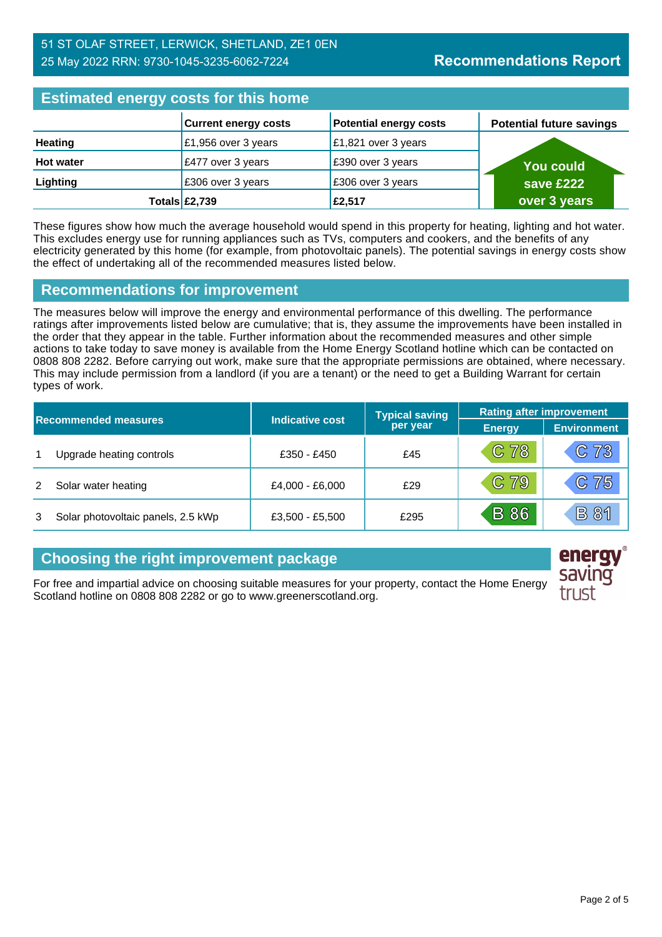| <b>Estimated energy costs for this home</b> |                             |                               |                                 |  |
|---------------------------------------------|-----------------------------|-------------------------------|---------------------------------|--|
|                                             | <b>Current energy costs</b> | <b>Potential energy costs</b> | <b>Potential future savings</b> |  |
| <b>Heating</b>                              | £1,956 over 3 years         | £1,821 over 3 years           |                                 |  |
| <b>Hot water</b>                            | £477 over 3 years           | E390 over 3 years             | <b>You could</b>                |  |
| Lighting                                    | £306 over 3 years           | £306 over 3 years             | save £222                       |  |
|                                             | Totals $\mathsf{E}2,739$    | £2,517                        | over 3 years                    |  |

These figures show how much the average household would spend in this property for heating, lighting and hot water. This excludes energy use for running appliances such as TVs, computers and cookers, and the benefits of any electricity generated by this home (for example, from photovoltaic panels). The potential savings in energy costs show the effect of undertaking all of the recommended measures listed below.

# **Recommendations for improvement**

The measures below will improve the energy and environmental performance of this dwelling. The performance ratings after improvements listed below are cumulative; that is, they assume the improvements have been installed in the order that they appear in the table. Further information about the recommended measures and other simple actions to take today to save money is available from the Home Energy Scotland hotline which can be contacted on 0808 808 2282. Before carrying out work, make sure that the appropriate permissions are obtained, where necessary. This may include permission from a landlord (if you are a tenant) or the need to get a Building Warrant for certain types of work.

| <b>Recommended measures</b> |                                    |                 | <b>Typical saving</b> | <b>Rating after improvement</b> |                    |
|-----------------------------|------------------------------------|-----------------|-----------------------|---------------------------------|--------------------|
|                             |                                    | Indicative cost | per year              | <b>Energy</b>                   | <b>Environment</b> |
|                             | Upgrade heating controls           | £350 - £450     | £45                   | $C$ 78                          | C73                |
|                             | Solar water heating                | £4,000 - £6,000 | £29                   | $C$ 79                          | C75                |
|                             | Solar photovoltaic panels, 2.5 kWp | £3,500 - £5,500 | £295                  | <b>B</b> 86                     | <b>B 81</b>        |

# **Choosing the right improvement package**

For free and impartial advice on choosing suitable measures for your property, contact the Home Energy Scotland hotline on 0808 808 2282 or go to www.greenerscotland.org.

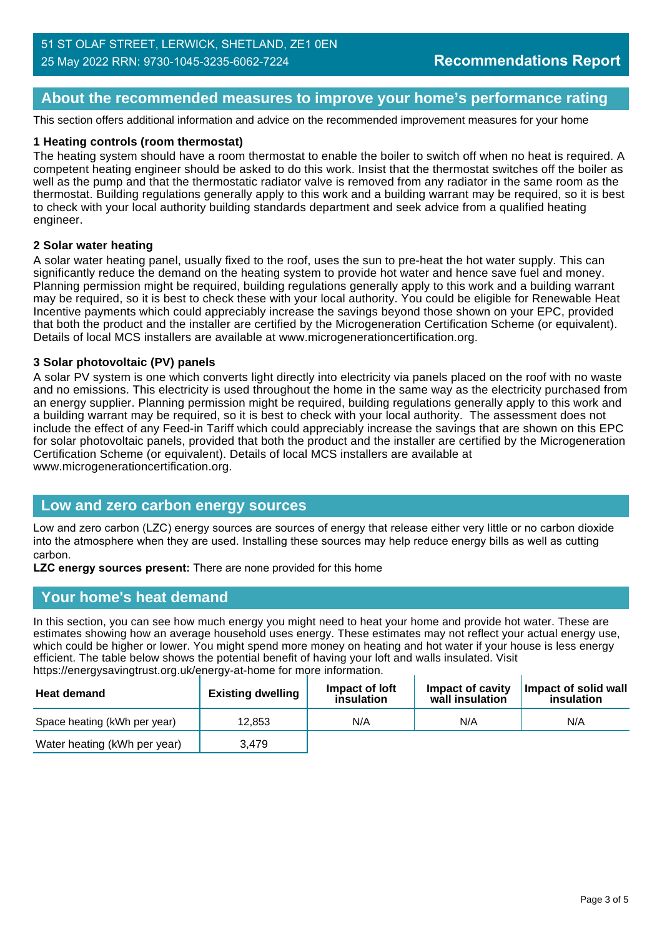# **About the recommended measures to improve your home's performance rating**

This section offers additional information and advice on the recommended improvement measures for your home

### **1 Heating controls (room thermostat)**

The heating system should have a room thermostat to enable the boiler to switch off when no heat is required. A competent heating engineer should be asked to do this work. Insist that the thermostat switches off the boiler as well as the pump and that the thermostatic radiator valve is removed from any radiator in the same room as the thermostat. Building regulations generally apply to this work and a building warrant may be required, so it is best to check with your local authority building standards department and seek advice from a qualified heating engineer.

### **2 Solar water heating**

A solar water heating panel, usually fixed to the roof, uses the sun to pre-heat the hot water supply. This can significantly reduce the demand on the heating system to provide hot water and hence save fuel and money. Planning permission might be required, building regulations generally apply to this work and a building warrant may be required, so it is best to check these with your local authority. You could be eligible for Renewable Heat Incentive payments which could appreciably increase the savings beyond those shown on your EPC, provided that both the product and the installer are certified by the Microgeneration Certification Scheme (or equivalent). Details of local MCS installers are available at www.microgenerationcertification.org.

### **3 Solar photovoltaic (PV) panels**

A solar PV system is one which converts light directly into electricity via panels placed on the roof with no waste and no emissions. This electricity is used throughout the home in the same way as the electricity purchased from an energy supplier. Planning permission might be required, building regulations generally apply to this work and a building warrant may be required, so it is best to check with your local authority. The assessment does not include the effect of any Feed-in Tariff which could appreciably increase the savings that are shown on this EPC for solar photovoltaic panels, provided that both the product and the installer are certified by the Microgeneration Certification Scheme (or equivalent). Details of local MCS installers are available at www.microgenerationcertification.org.

### **Low and zero carbon energy sources**

Low and zero carbon (LZC) energy sources are sources of energy that release either very little or no carbon dioxide into the atmosphere when they are used. Installing these sources may help reduce energy bills as well as cutting carbon.

**LZC energy sources present:** There are none provided for this home

# **Your home's heat demand**

In this section, you can see how much energy you might need to heat your home and provide hot water. These are estimates showing how an average household uses energy. These estimates may not reflect your actual energy use, which could be higher or lower. You might spend more money on heating and hot water if your house is less energy efficient. The table below shows the potential benefit of having your loft and walls insulated. Visit https://energysavingtrust.org.uk/energy-at-home for more information.

| <b>Heat demand</b>           | <b>Existing dwelling</b> | Impact of loft<br>insulation | Impact of cavity<br>wall insulation | Impact of solid wall<br>insulation |
|------------------------------|--------------------------|------------------------------|-------------------------------------|------------------------------------|
| Space heating (kWh per year) | 12,853                   | N/A                          | N/A                                 | N/A                                |
| Water heating (kWh per year) | 3,479                    |                              |                                     |                                    |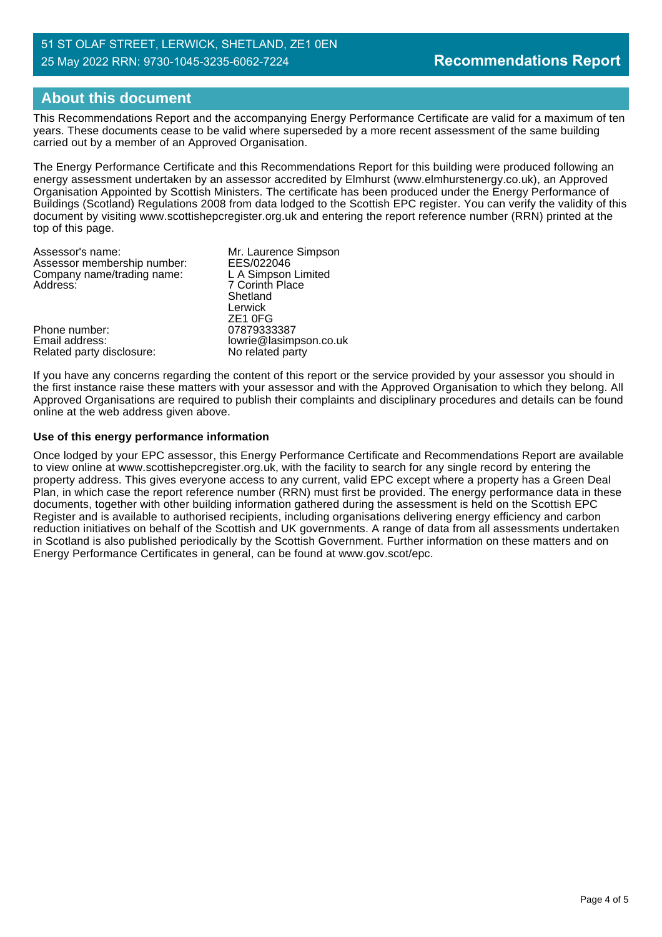# **About this document**

This Recommendations Report and the accompanying Energy Performance Certificate are valid for a maximum of ten years. These documents cease to be valid where superseded by a more recent assessment of the same building carried out by a member of an Approved Organisation.

The Energy Performance Certificate and this Recommendations Report for this building were produced following an energy assessment undertaken by an assessor accredited by Elmhurst (www.elmhurstenergy.co.uk), an Approved Organisation Appointed by Scottish Ministers. The certificate has been produced under the Energy Performance of Buildings (Scotland) Regulations 2008 from data lodged to the Scottish EPC register. You can verify the validity of this document by visiting www.scottishepcregister.org.uk and entering the report reference number (RRN) printed at the top of this page.

| Mr. Laurence Simpson   |
|------------------------|
| EES/022046             |
| L A Simpson Limited    |
| 7 Corinth Place        |
| Shetland               |
| Lerwick                |
| ZE <sub>1</sub> OFG    |
| 07879333387            |
| lowrie@lasimpson.co.uk |
| No related party       |
|                        |

If you have any concerns regarding the content of this report or the service provided by your assessor you should in the first instance raise these matters with your assessor and with the Approved Organisation to which they belong. All Approved Organisations are required to publish their complaints and disciplinary procedures and details can be found online at the web address given above.

### **Use of this energy performance information**

Once lodged by your EPC assessor, this Energy Performance Certificate and Recommendations Report are available to view online at www.scottishepcregister.org.uk, with the facility to search for any single record by entering the property address. This gives everyone access to any current, valid EPC except where a property has a Green Deal Plan, in which case the report reference number (RRN) must first be provided. The energy performance data in these documents, together with other building information gathered during the assessment is held on the Scottish EPC Register and is available to authorised recipients, including organisations delivering energy efficiency and carbon reduction initiatives on behalf of the Scottish and UK governments. A range of data from all assessments undertaken in Scotland is also published periodically by the Scottish Government. Further information on these matters and on Energy Performance Certificates in general, can be found at www.gov.scot/epc.